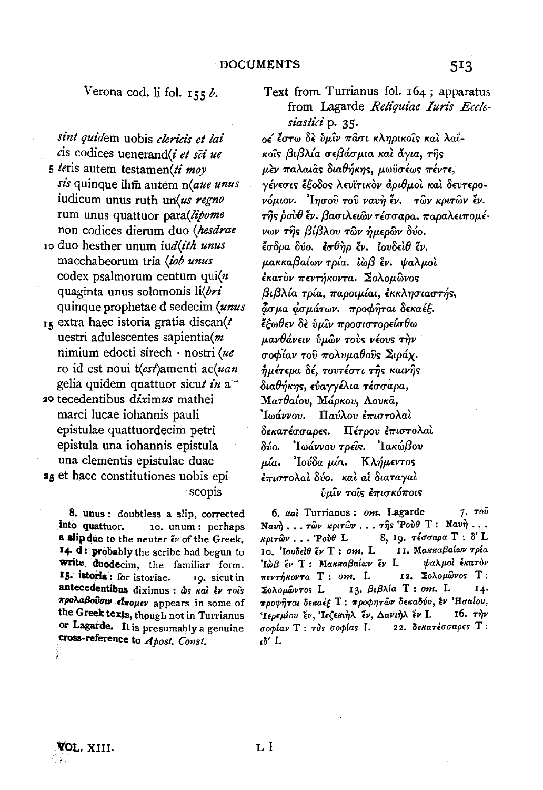## Verona cod. li fol.  $155b$ .

sint quidem uobis clericis et lai cis codices uenerand(i et sci ue

5 teris autem testamen(ti moy sis quinque ihm autem n(aue unus iudicum unus ruth un(us regno rum unus quattuor parallipome non codices dierum duo (hesdrae

- 10 duo hesther unum judlith unus macchabeorum tria (iob unus codex psalmorum centum qui $(n)$ quaginta unus solomonis li(bri quinque prophetae d sedecim (unus
- $_{15}$  extra haec istoria gratia discan(t uestri adulescentes sapientia(m nimium edocti sirech · nostri (ue ro id est noui t(est)amenti ae(uan gelia quidem quattuor sicut in a
- 20 tecedentibus diximus mathei marci lucae iohannis pauli epistulae quattuordecim petri epistula una iohannis epistula una clementis epistulae duae 25 et haec constitutiones uobis epi

scopis

8. unus: doubtless a slip, corrected into quattuor. 10. unum: perhaps a slip due to the neuter  $\tilde{\epsilon} \nu$  of the Greek. 14 d: probably the scribe had begun to write duodecim, the familiar form. 15. istoria: for istoriae. 10. sicut in antecedentibus diximus : ωs και έν τοις προλαβούσιν είπομεν appears in some of the Greek texts, though not in Turrianus or Lagarde. It is presumably a genuine cross-reference to Apost. Const.

Text from Turrianus fol. 164; apparatus from Lagarde Reliquiae Iuris Ecclesiastici p. 35. ος έστω δε ύμιν πάσι κληρικοίς και λαϊκοΐς βιβλία σεβάσμια καὶ ἄγια, τῆς μεν παλαιάς διαθήκης, μωϋσέως πέντε, νένεσις έξοδος λευϊτικόν άριθμοί και δευτερονόμιον. Ίησου του ναυή έν. των κριτών έν.  $\tau$ ης ρούθ έν. βασιλειών τέσσαρα, παραλειπομένων της βίβλου των ήμερων δύο. έσδρα δύο. εσθήρ έν. ιουδείθ έν. μακκαβαίων τρία. Ιωβ έν. ψαλμοί έκατον πεντήκοντα. Σολομώνος βιβλία τρία, παροιμίαι, εκκλησιαστής, άσμα ασμάτων. προφήται δεκαέξ. ξέωθεν δε ύμιν προσιστορείσθω μανθάνειν ύμων τους νέους την σοφίαν του πολυμαθούς Σιράχ. ημέτερα δέ, τουτέστι της καινής διαθήκης, εὐαννέλια τέσσαρα, Ματθαίου, Μάρκου, Λουκά, Παύλου έπιστολαί 'Iwávvov. δεκατέσσαρες. Πέτρου επιστολαί δύο. 'Ιωάννου τρέις. 'Ιακώβου μία. Ίούδα μία. Κλήμεντος έπιστολαί δύο. και αί διαταγαι ύμἶν τοἶς ἐπισκόποις

6. Kal Turrianus: om. Lagarde 7.  $\tau$ oύ Navη ... των κριτών ... της Ρούθ Τ: Νανή ...  $\kappa \rho_1 \tau \hat{\omega} \nu$ ... Έουθ L 8, 19. τέσσαρα T: δ'L 10. Ιουδείθ έν Τ: om. L II. Μακκαβαίων τρία Ίωβ έν Τ: Μακκαβαίων έν L ψαλμοί έκατον 12. Σολομώνος Τ: πεντήκοντα Τ: οm. L 13. βιβλία Τ: om. L Σολομώντος L προφήται δεκαέξ Τ: προφητών δεκαδύο, εν 'Ησαίου, Ίερεμίου έν, Ιεζεκιήλ έν, Δανιήλ έν L  $16.$   $\tau\lambda\nu$ σοφίαν Τ: τάς σοφίας L 22. δεκατέσσαρες Τ:  $\iota \delta'$  L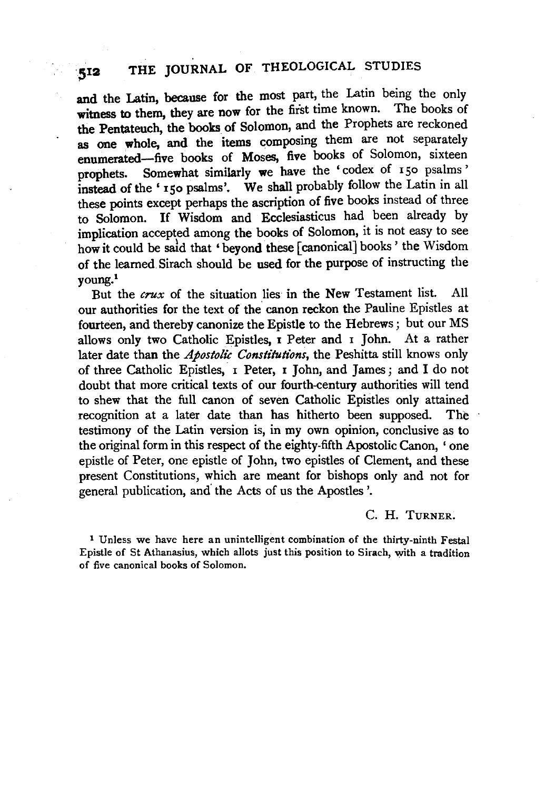## SI2 THE JOURNAL OF THEOLOGICAL STUDIES

and the Latin, because for the most part, the Latin being the only witness to them, they are now for the first time known. The books of the Pentateuch, the books of Solomon, and the Prophets are reckoned as one whole, and the items composing them are not separately enumerated-five books of Moses, five books of Solomon, sixteen prophets. Somewhat similarly we have the 'codex of 150 psalms' instead of the' 150 psalms'. We shall probably follow the Latin in all these points except perhaps the ascription of five books instead of three to Solomon. If Wisdom and Ecclesiasticus had been already by implication accepted among the books of Solomon, it is not easy to see how it could be sald that 'beyond these [canonical] books ' the Wisdom of the learned Sirach should be used for the purpose of instructing the young.1

But the crux of the situation lies in the New Testament list. All our authorities for the text of the canon reckon the Pauline Epistles at fourteen, and thereby canonize the Epistle to the Hebrews ; but our MS allows only two Catholic Epistles, I Peter and I John. At a rather later date than the *Apostolic Constitutions,* the Peshitta still knows only of three Catholic Epistles, I Peter, I John, and James; and I do not doubt that more critical texts of our fourth-century authorities will tend to shew that the full canon of seven Catholic Epistles only attained recognition at a later date than has hitherto been supposed. The testimony of the Latin version is, in my own opinion, conclusive as to the original form in this respect of the eighty-fifth Apostolic Canon, ' one epistle of Peter, one epistle of John, two epistles of Clement, and these present Constitutions, which are meant for bishops only and not for general publication, and' the Acts of us the Apostles '.

c. H. TURNER.

1 Unless we have here an unintelligent combination of the thirty-ninth Festal Epistle of St Athanasius, which allots just this position to Sirach, with a tradition of five canonical books of Solomon.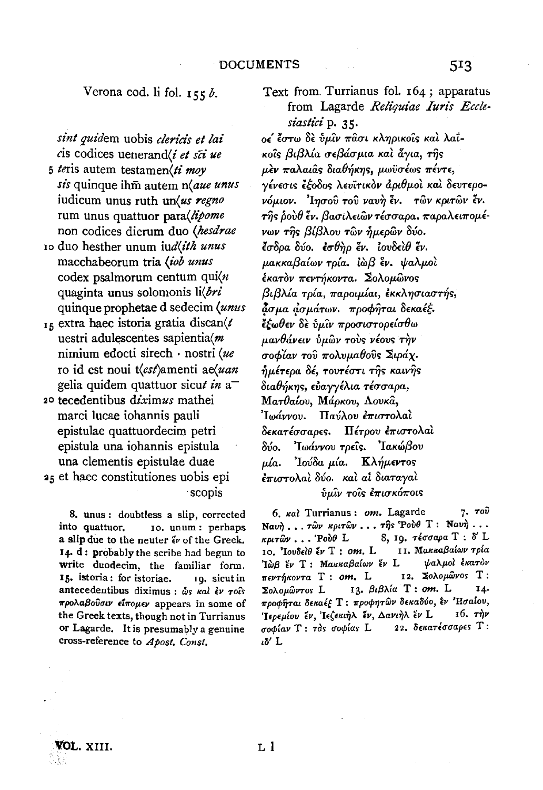Verona cod. li fol.  $155b$ .

sint quidem uobis clericis et lai cis codices uenerand/i et sci ue

5 teris autem testamen(ti mov sis quinque ihm autem n(aue unus iudicum unus ruth un(us regno rum unus quattuor para(lipome non codices dierum duo (hesdrae

- 10 duo hesther unum jud(ith unus macchabeorum tria (iob unus codex psalmorum centum qui $\langle n \rangle$ quaginta unus solomonis li(bri quinque prophetae d sedecim (unus
- $_{15}$  extra haec istoria gratia discan( $t$ uestri adulescentes sapientia(m nimium edocti sirech · nostri (ue ro id est noui t(est)amenti ae(uan gelia quidem quattuor sicut in  $a^-$
- 20 tecedentibus diximus mathei marci lucae iohannis pauli epistulae quattuordecim petri epistula una iohannis epistula una clementis epistulae duae 25 et haec constitutiones uobis epi

scopis

8. unus: doubtless a slip, corrected into quattuor. Io. unum: perhaps a slip due to the neuter  $\ddot{\epsilon}$  of the Greek. 14. d: probably the scribe had begun to write duodecim, the familiar form. 15. istoria: for istoriae. 10. sicut in antecedentibus diximus :  $\omega_s$  kal  $\epsilon_V$  rois προλαβούσιν είπομεν appears in some of the Greek texts, though not in Turrianus or Lagarde. It is presumably a genuine cross-reference to Apost. Const.

Text from Turrianus fol. 164; apparatus from Lagarde Reliquiae Iuris Ecclesiastici p. 35.

ος έστω δε ύμιν πάσι κληρικοίς και λαϊκοΐς βιβλία σεβάσμια καὶ ἆγια, της μεν παλαιάς διαθήκης, μωϋσέως πέντε, γένεσις έξοδος λευϊτικόν άριθμοί και δευτερονόμιον. Ίησου του ναυή έν. των κριτών έν. της ρούθ έν. βασιλειών τέσσαρα, παραλειπομένων της βίβλου των ήμερων δύο. έσδρα δύο. εσθήρ έν. ιουδειθ έν. μακκαβαίων τρία. Ιωβ έν. ψαλμοί έκατον πεντήκοντα. Σολομώνος βιβλία τρία, παροιμίαι, εκκλησιαστής, άσμα ασμάτων. προφήται δεκαέξ. έξωθεν δε ύμιν προσιστορείσθω μανθάνειν ύμων τους νέους την σοφίαν του πολυμαθούς Σιράχ. ημέτερα δέ, τουτέστι της καινής διαθήκης, εύαγγέλια τέσσαρα, Ματθαίου, Μάρκου, Λουκά, Παύλου έπιστολαί Ιωάννου. δεκατέσσαρες. Πέτρου επιστολαί Ιωάννου τρείς. Ιακώβου  $\delta$ ύο. uía. 'Ιούδα μία. Κλήμεντος έπιστολαὶ δύο, καὶ αἱ διαταγαὶ  $\hat{v}$ μίν τοίς έπισκόποις

7.  $\tau$ oυ 6. Kal Turrianus: om. Lagarde Ναυή... των κριτών... της Ρούθ Τ: Ναυή... 8, 19. τέσσαρα Τ: δ' L  $k\rho\alpha\hat{\omega}\nu$ ... Pou $\theta$  L 11. Μακκαβαίων τρία 10. Ιουδείθ έν Τ : om. L Ίωβ έν Τ: Μακκαβαίων έν L ψαλμοί έκατον 12. Σολομώνος Τ:  $\pi$ εντήκοντα T: om. L 13. βιβλία T: om. L Σολομώντος L 14. προφήται δεκαέξ Τ: προφητών δεκαδύο, εν Ήσαίου, Ίερεμίου έν, Ιεζεκιήλ έν, Δανιήλ έν L  $16.$   $\tau \frac{\partial y}{\partial x}$ 22. δεκατέσσαρες Τ: σοφίαν Τ: τος σοφίας L  $i\delta'$  L

VOL. XIII.

 $L<sub>1</sub>$